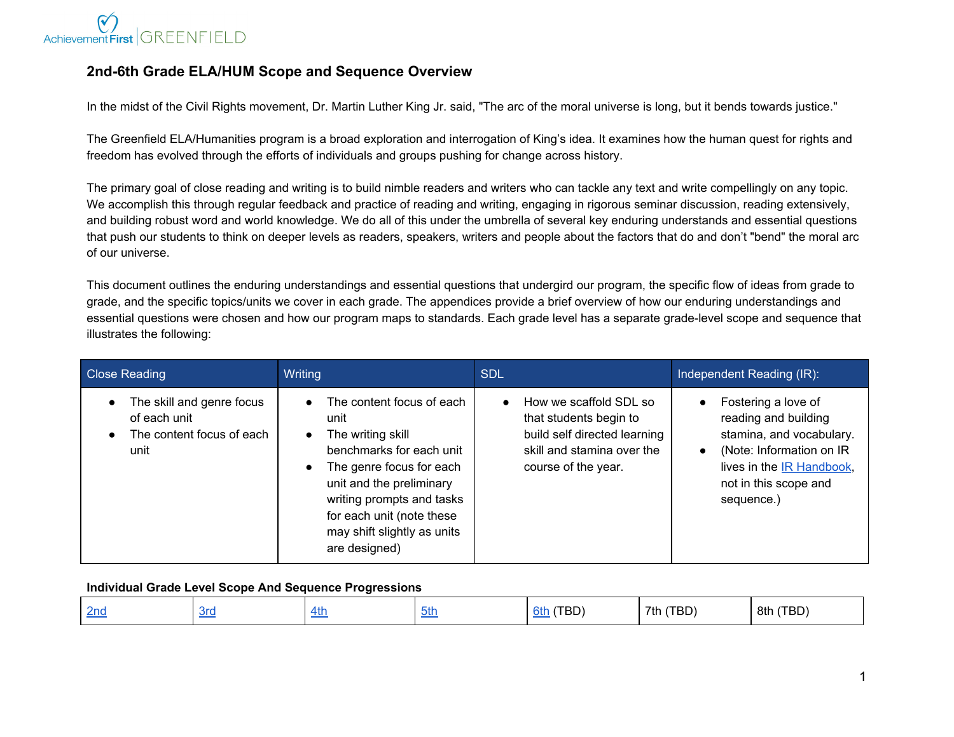

## **2nd-6th Grade ELA/HUM Scope and Sequence Overview**

In the midst of the Civil Rights movement, Dr. Martin Luther King Jr. said, "The arc of the moral universe is long, but it bends towards justice."

The Greenfield ELA/Humanities program is a broad exploration and interrogation of King's idea. It examines how the human quest for rights and freedom has evolved through the efforts of individuals and groups pushing for change across history.

The primary goal of close reading and writing is to build nimble readers and writers who can tackle any text and write compellingly on any topic. We accomplish this through regular feedback and practice of reading and writing, engaging in rigorous seminar discussion, reading extensively, and building robust word and world knowledge. We do all of this under the umbrella of several key enduring understands and essential questions that push our students to think on deeper levels as readers, speakers, writers and people about the factors that do and don't "bend" the moral arc of our universe.

This document outlines the enduring understandings and essential questions that undergird our program, the specific flow of ideas from grade to grade, and the specific topics/units we cover in each grade. The appendices provide a brief overview of how our enduring understandings and essential questions were chosen and how our program maps to standards. Each grade level has a separate grade-level scope and sequence that illustrates the following:

| <b>Writing</b><br>Close Reading                                                |                                                                                                                                                                                                                                                                                             | <b>SDL</b>                                                                                                                            | Independent Reading (IR):                                                                                                                                                       |  |  |
|--------------------------------------------------------------------------------|---------------------------------------------------------------------------------------------------------------------------------------------------------------------------------------------------------------------------------------------------------------------------------------------|---------------------------------------------------------------------------------------------------------------------------------------|---------------------------------------------------------------------------------------------------------------------------------------------------------------------------------|--|--|
| The skill and genre focus<br>of each unit<br>The content focus of each<br>unit | The content focus of each<br>$\bullet$<br>unit<br>The writing skill<br>$\bullet$<br>benchmarks for each unit<br>The genre focus for each<br>$\bullet$<br>unit and the preliminary<br>writing prompts and tasks<br>for each unit (note these<br>may shift slightly as units<br>are designed) | How we scaffold SDL so<br>that students begin to<br>build self directed learning<br>skill and stamina over the<br>course of the year. | Fostering a love of<br>reading and building<br>stamina, and vocabulary.<br>(Note: Information on IR<br>lives in the <b>IR Handbook</b> ,<br>not in this scope and<br>sequence.) |  |  |

#### **Individual Grade Level Scope And Sequence Progressions**

| 21 U<br>$\sim$ | эu | วแ<br>ור | TBD<br>7th<br>. . | (TBD<br>8th |
|----------------|----|----------|-------------------|-------------|
|----------------|----|----------|-------------------|-------------|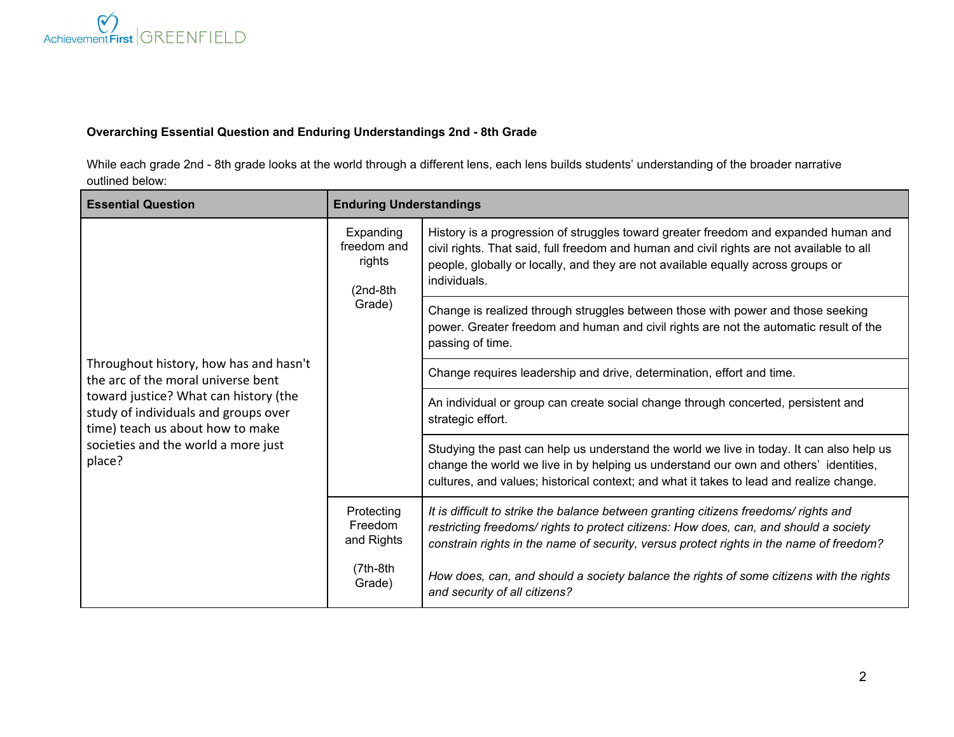

## **Overarching Essential Question and Enduring Understandings 2nd - 8th Grade**

While each grade 2nd - 8th grade looks at the world through a different lens, each lens builds students' understanding of the broader narrative outlined below:

| <b>Essential Question</b>                                                                                         |                                                   | <b>Enduring Understandings</b>                                                                                                                                                                                                                                                       |  |  |  |
|-------------------------------------------------------------------------------------------------------------------|---------------------------------------------------|--------------------------------------------------------------------------------------------------------------------------------------------------------------------------------------------------------------------------------------------------------------------------------------|--|--|--|
|                                                                                                                   | Expanding<br>freedom and<br>rights<br>$(2nd-8th)$ | History is a progression of struggles toward greater freedom and expanded human and<br>civil rights. That said, full freedom and human and civil rights are not available to all<br>people, globally or locally, and they are not available equally across groups or<br>individuals. |  |  |  |
|                                                                                                                   | Grade)                                            | Change is realized through struggles between those with power and those seeking<br>power. Greater freedom and human and civil rights are not the automatic result of the<br>passing of time.                                                                                         |  |  |  |
| Throughout history, how has and hasn't<br>the arc of the moral universe bent                                      |                                                   | Change requires leadership and drive, determination, effort and time.                                                                                                                                                                                                                |  |  |  |
| toward justice? What can history (the<br>study of individuals and groups over<br>time) teach us about how to make |                                                   | An individual or group can create social change through concerted, persistent and<br>strategic effort.                                                                                                                                                                               |  |  |  |
| societies and the world a more just<br>place?                                                                     |                                                   | Studying the past can help us understand the world we live in today. It can also help us<br>change the world we live in by helping us understand our own and others' identities,<br>cultures, and values; historical context; and what it takes to lead and realize change.          |  |  |  |
|                                                                                                                   | Protecting<br>Freedom<br>and Rights               | It is difficult to strike the balance between granting citizens freedoms/ rights and<br>restricting freedoms/ rights to protect citizens: How does, can, and should a society<br>constrain rights in the name of security, versus protect rights in the name of freedom?             |  |  |  |
|                                                                                                                   | $(7th-8th)$<br>Grade)                             | How does, can, and should a society balance the rights of some citizens with the rights<br>and security of all citizens?                                                                                                                                                             |  |  |  |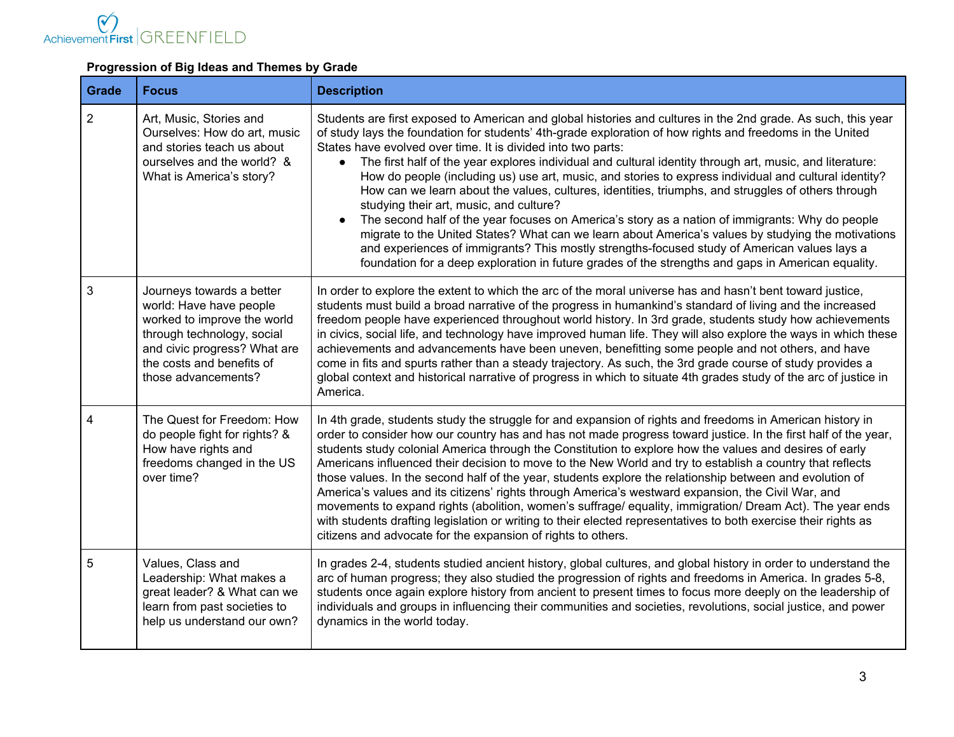

## **Progression of Big Ideas and Themes by Grade**

| <b>Grade</b>     | <b>Focus</b>                                                                                                                                                                                          | <b>Description</b>                                                                                                                                                                                                                                                                                                                                                                                                                                                                                                                                                                                                                                                                                                                                                                                                                                                                                                                                                                                                                                                                           |
|------------------|-------------------------------------------------------------------------------------------------------------------------------------------------------------------------------------------------------|----------------------------------------------------------------------------------------------------------------------------------------------------------------------------------------------------------------------------------------------------------------------------------------------------------------------------------------------------------------------------------------------------------------------------------------------------------------------------------------------------------------------------------------------------------------------------------------------------------------------------------------------------------------------------------------------------------------------------------------------------------------------------------------------------------------------------------------------------------------------------------------------------------------------------------------------------------------------------------------------------------------------------------------------------------------------------------------------|
| $\boldsymbol{2}$ | Art, Music, Stories and<br>Ourselves: How do art, music<br>and stories teach us about<br>ourselves and the world? &<br>What is America's story?                                                       | Students are first exposed to American and global histories and cultures in the 2nd grade. As such, this year<br>of study lays the foundation for students' 4th-grade exploration of how rights and freedoms in the United<br>States have evolved over time. It is divided into two parts:<br>The first half of the year explores individual and cultural identity through art, music, and literature:<br>How do people (including us) use art, music, and stories to express individual and cultural identity?<br>How can we learn about the values, cultures, identities, triumphs, and struggles of others through<br>studying their art, music, and culture?<br>The second half of the year focuses on America's story as a nation of immigrants: Why do people<br>$\bullet$<br>migrate to the United States? What can we learn about America's values by studying the motivations<br>and experiences of immigrants? This mostly strengths-focused study of American values lays a<br>foundation for a deep exploration in future grades of the strengths and gaps in American equality. |
| 3                | Journeys towards a better<br>world: Have have people<br>worked to improve the world<br>through technology, social<br>and civic progress? What are<br>the costs and benefits of<br>those advancements? | In order to explore the extent to which the arc of the moral universe has and hasn't bent toward justice,<br>students must build a broad narrative of the progress in humankind's standard of living and the increased<br>freedom people have experienced throughout world history. In 3rd grade, students study how achievements<br>in civics, social life, and technology have improved human life. They will also explore the ways in which these<br>achievements and advancements have been uneven, benefitting some people and not others, and have<br>come in fits and spurts rather than a steady trajectory. As such, the 3rd grade course of study provides a<br>global context and historical narrative of progress in which to situate 4th grades study of the arc of justice in<br>America.                                                                                                                                                                                                                                                                                      |
| 4                | The Quest for Freedom: How<br>do people fight for rights? &<br>How have rights and<br>freedoms changed in the US<br>over time?                                                                        | In 4th grade, students study the struggle for and expansion of rights and freedoms in American history in<br>order to consider how our country has and has not made progress toward justice. In the first half of the year,<br>students study colonial America through the Constitution to explore how the values and desires of early<br>Americans influenced their decision to move to the New World and try to establish a country that reflects<br>those values. In the second half of the year, students explore the relationship between and evolution of<br>America's values and its citizens' rights through America's westward expansion, the Civil War, and<br>movements to expand rights (abolition, women's suffrage/ equality, immigration/ Dream Act). The year ends<br>with students drafting legislation or writing to their elected representatives to both exercise their rights as<br>citizens and advocate for the expansion of rights to others.                                                                                                                        |
| 5                | Values, Class and<br>Leadership: What makes a<br>great leader? & What can we<br>learn from past societies to<br>help us understand our own?                                                           | In grades 2-4, students studied ancient history, global cultures, and global history in order to understand the<br>arc of human progress; they also studied the progression of rights and freedoms in America. In grades 5-8,<br>students once again explore history from ancient to present times to focus more deeply on the leadership of<br>individuals and groups in influencing their communities and societies, revolutions, social justice, and power<br>dynamics in the world today.                                                                                                                                                                                                                                                                                                                                                                                                                                                                                                                                                                                                |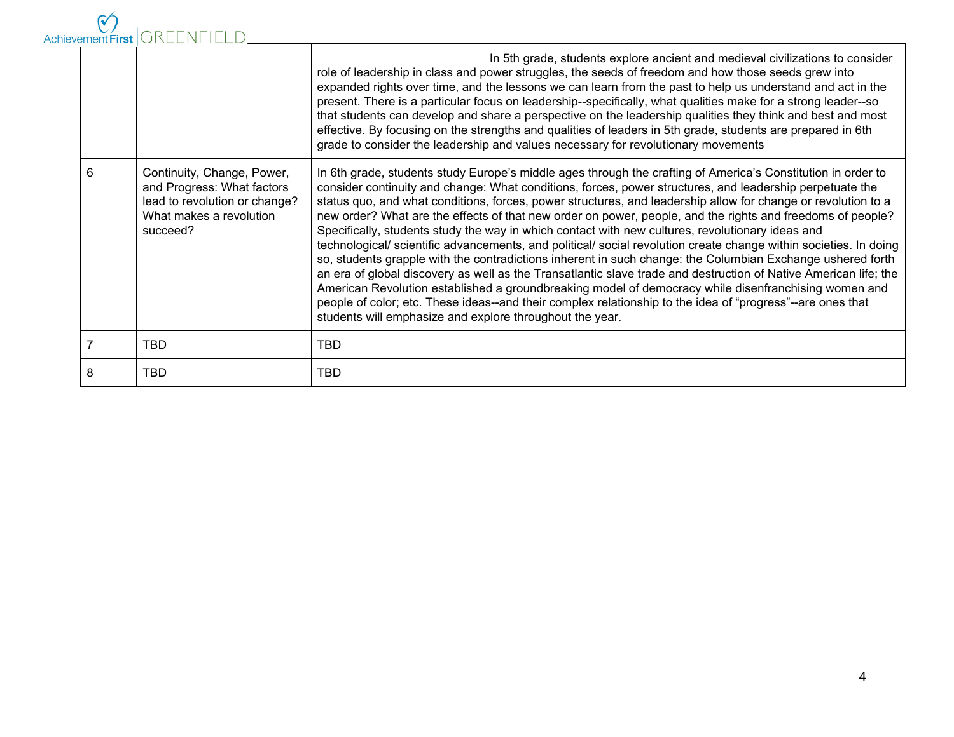| Achievement First GREENFIELD |                                                                                                                                  |                                                                                                                                                                                                                                                                                                                                                                                                                                                                                                                                                                                                                                                                                                                                                                                                                                                                                                                                                                                                                                                                                                                                                                                                      |  |  |  |  |
|------------------------------|----------------------------------------------------------------------------------------------------------------------------------|------------------------------------------------------------------------------------------------------------------------------------------------------------------------------------------------------------------------------------------------------------------------------------------------------------------------------------------------------------------------------------------------------------------------------------------------------------------------------------------------------------------------------------------------------------------------------------------------------------------------------------------------------------------------------------------------------------------------------------------------------------------------------------------------------------------------------------------------------------------------------------------------------------------------------------------------------------------------------------------------------------------------------------------------------------------------------------------------------------------------------------------------------------------------------------------------------|--|--|--|--|
|                              |                                                                                                                                  | In 5th grade, students explore ancient and medieval civilizations to consider<br>role of leadership in class and power struggles, the seeds of freedom and how those seeds grew into<br>expanded rights over time, and the lessons we can learn from the past to help us understand and act in the<br>present. There is a particular focus on leadership--specifically, what qualities make for a strong leader--so<br>that students can develop and share a perspective on the leadership qualities they think and best and most<br>effective. By focusing on the strengths and qualities of leaders in 5th grade, students are prepared in 6th<br>grade to consider the leadership and values necessary for revolutionary movements                                                                                                                                                                                                                                                                                                                                                                                                                                                                |  |  |  |  |
| 6                            | Continuity, Change, Power,<br>and Progress: What factors<br>lead to revolution or change?<br>What makes a revolution<br>succeed? | In 6th grade, students study Europe's middle ages through the crafting of America's Constitution in order to<br>consider continuity and change: What conditions, forces, power structures, and leadership perpetuate the<br>status quo, and what conditions, forces, power structures, and leadership allow for change or revolution to a<br>new order? What are the effects of that new order on power, people, and the rights and freedoms of people?<br>Specifically, students study the way in which contact with new cultures, revolutionary ideas and<br>technological/ scientific advancements, and political/ social revolution create change within societies. In doing<br>so, students grapple with the contradictions inherent in such change: the Columbian Exchange ushered forth<br>an era of global discovery as well as the Transatlantic slave trade and destruction of Native American life; the<br>American Revolution established a groundbreaking model of democracy while disenfranchising women and<br>people of color; etc. These ideas--and their complex relationship to the idea of "progress"--are ones that<br>students will emphasize and explore throughout the year. |  |  |  |  |
| $\overline{7}$               | TBD                                                                                                                              | <b>TBD</b>                                                                                                                                                                                                                                                                                                                                                                                                                                                                                                                                                                                                                                                                                                                                                                                                                                                                                                                                                                                                                                                                                                                                                                                           |  |  |  |  |
| 8                            | TBD                                                                                                                              | <b>TBD</b>                                                                                                                                                                                                                                                                                                                                                                                                                                                                                                                                                                                                                                                                                                                                                                                                                                                                                                                                                                                                                                                                                                                                                                                           |  |  |  |  |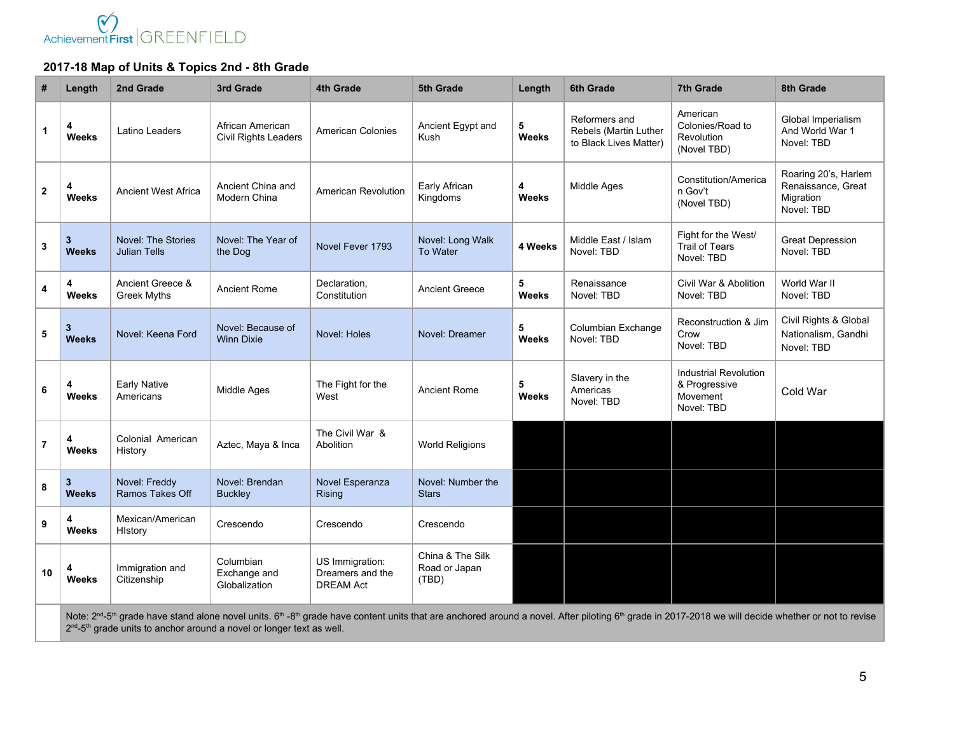

## **2017-18 Map of Units & Topics 2nd - 8th Grade**

| #              | Length                                                                                                                                                                                                                                                                                                                                                            | 2nd Grade                                 | 3rd Grade                                  | 4th Grade                                               | 5th Grade                                  | Length            | 6th Grade                                                        | <b>7th Grade</b>                                                 | 8th Grade                                                             |
|----------------|-------------------------------------------------------------------------------------------------------------------------------------------------------------------------------------------------------------------------------------------------------------------------------------------------------------------------------------------------------------------|-------------------------------------------|--------------------------------------------|---------------------------------------------------------|--------------------------------------------|-------------------|------------------------------------------------------------------|------------------------------------------------------------------|-----------------------------------------------------------------------|
| 1              | 4<br>Weeks                                                                                                                                                                                                                                                                                                                                                        | Latino Leaders                            | African American<br>Civil Rights Leaders   | <b>American Colonies</b>                                | Ancient Egypt and<br>Kush                  | 5<br><b>Weeks</b> | Reformers and<br>Rebels (Martin Luther<br>to Black Lives Matter) | American<br>Colonies/Road to<br><b>Revolution</b><br>(Novel TBD) | Global Imperialism<br>And World War 1<br>Novel: TBD                   |
| $\mathbf 2$    | 4<br>Weeks                                                                                                                                                                                                                                                                                                                                                        | <b>Ancient West Africa</b>                | Ancient China and<br>Modern China          | American Revolution                                     | Early African<br>Kingdoms                  | 4<br>Weeks        | Middle Ages                                                      | Constitution/America<br>n Gov't<br>(Novel TBD)                   | Roaring 20's, Harlem<br>Renaissance, Great<br>Migration<br>Novel: TBD |
| 3              | $\mathbf{3}$<br><b>Weeks</b>                                                                                                                                                                                                                                                                                                                                      | Novel: The Stories<br><b>Julian Tells</b> | Novel: The Year of<br>the Dog              | Novel Fever 1793                                        | Novel: Long Walk<br>To Water               | 4 Weeks           | Middle East / Islam<br>Novel: TBD                                | Fight for the West/<br>Trail of Tears<br>Novel: TBD              | <b>Great Depression</b><br>Novel: TBD                                 |
| 4              | 4<br>Weeks                                                                                                                                                                                                                                                                                                                                                        | Ancient Greece &<br>Greek Myths           | <b>Ancient Rome</b>                        | Declaration,<br>Constitution                            | <b>Ancient Greece</b>                      | 5<br>Weeks        | Renaissance<br>Novel: TBD                                        | Civil War & Abolition<br>Novel: TBD                              | World War II<br>Novel: TBD                                            |
| 5              | 3<br><b>Weeks</b>                                                                                                                                                                                                                                                                                                                                                 | Novel: Keena Ford                         | Novel: Because of<br><b>Winn Dixie</b>     | Novel: Holes                                            | Novel: Dreamer                             | 5<br><b>Weeks</b> | Columbian Exchange<br>Novel: TBD                                 | Reconstruction & Jim<br>Crow<br>Novel: TBD                       | Civil Rights & Global<br>Nationalism, Gandhi<br>Novel: TBD            |
| 6              | 4<br><b>Weeks</b>                                                                                                                                                                                                                                                                                                                                                 | Early Native<br>Americans                 | Middle Ages                                | The Fight for the<br>West                               | <b>Ancient Rome</b>                        | 5<br><b>Weeks</b> | Slavery in the<br>Americas<br>Novel: TBD                         | Industrial Revolution<br>& Progressive<br>Movement<br>Novel: TBD | Cold War                                                              |
| $\overline{7}$ | 4<br><b>Weeks</b>                                                                                                                                                                                                                                                                                                                                                 | Colonial American<br>History              | Aztec, Maya & Inca                         | The Civil War &<br>Abolition                            | <b>World Religions</b>                     |                   |                                                                  |                                                                  |                                                                       |
| 8              | $\mathbf{3}$<br><b>Weeks</b>                                                                                                                                                                                                                                                                                                                                      | Novel: Freddy<br>Ramos Takes Off          | Novel: Brendan<br><b>Buckley</b>           | Novel Esperanza<br>Rising                               | Novel: Number the<br><b>Stars</b>          |                   |                                                                  |                                                                  |                                                                       |
| 9              | 4<br>Weeks                                                                                                                                                                                                                                                                                                                                                        | Mexican/American<br>History               | Crescendo                                  | Crescendo                                               | Crescendo                                  |                   |                                                                  |                                                                  |                                                                       |
| 10             | 4<br>Weeks                                                                                                                                                                                                                                                                                                                                                        | Immigration and<br>Citizenship            | Columbian<br>Exchange and<br>Globalization | US Immigration:<br>Dreamers and the<br><b>DREAM Act</b> | China & The Silk<br>Road or Japan<br>(TBD) |                   |                                                                  |                                                                  |                                                                       |
|                | Note: 2 <sup>nd</sup> -5 <sup>th</sup> grade have stand alone novel units. 6 <sup>th</sup> -8 <sup>th</sup> grade have content units that are anchored around a novel. After piloting 6 <sup>th</sup> grade in 2017-2018 we will decide whether or not to revise<br>2 <sup>nd</sup> -5 <sup>th</sup> grade units to anchor around a novel or longer text as well. |                                           |                                            |                                                         |                                            |                   |                                                                  |                                                                  |                                                                       |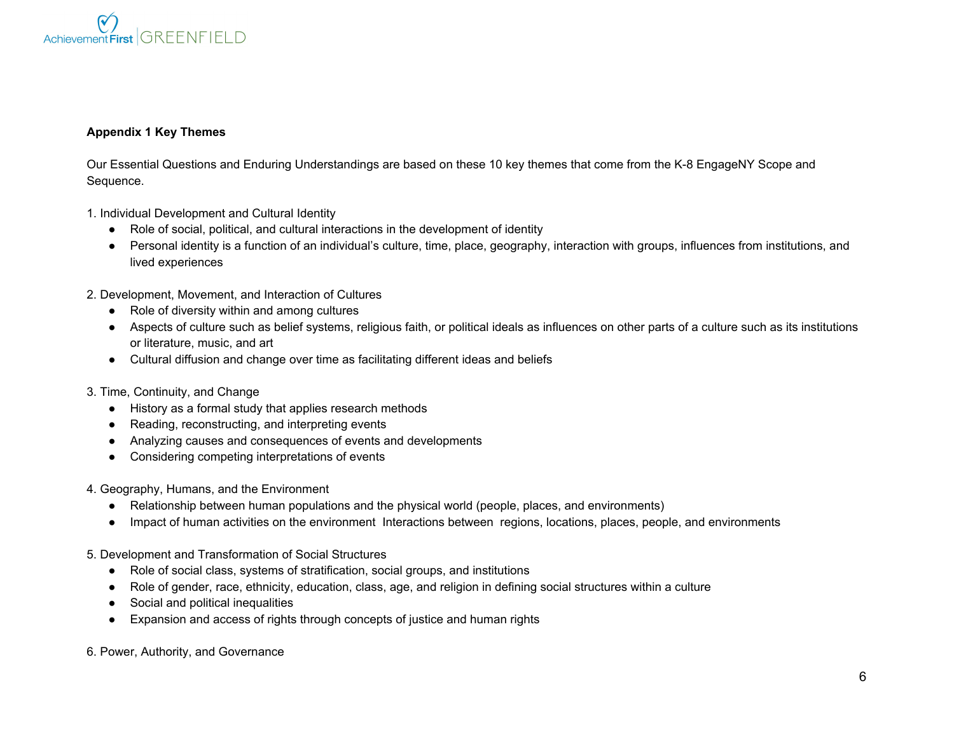

### **Appendix 1 Key Themes**

Our Essential Questions and Enduring Understandings are based on these 10 key themes that come from the K-8 EngageNY Scope and Sequence.

- 1. Individual Development and Cultural Identity
	- Role of social, political, and cultural interactions in the development of identity
	- Personal identity is a function of an individual's culture, time, place, geography, interaction with groups, influences from institutions, and lived experiences
- 2. Development, Movement, and Interaction of Cultures
	- Role of diversity within and among cultures
	- Aspects of culture such as belief systems, religious faith, or political ideals as influences on other parts of a culture such as its institutions or literature, music, and art
	- Cultural diffusion and change over time as facilitating different ideas and beliefs
- 3. Time, Continuity, and Change
	- History as a formal study that applies research methods
	- Reading, reconstructing, and interpreting events
	- Analyzing causes and consequences of events and developments
	- Considering competing interpretations of events
- 4. Geography, Humans, and the Environment
	- Relationship between human populations and the physical world (people, places, and environments)
	- Impact of human activities on the environment Interactions between regions, locations, places, people, and environments
- 5. Development and Transformation of Social Structures
	- Role of social class, systems of stratification, social groups, and institutions
	- Role of gender, race, ethnicity, education, class, age, and religion in defining social structures within a culture
	- Social and political inequalities
	- Expansion and access of rights through concepts of justice and human rights

### 6. Power, Authority, and Governance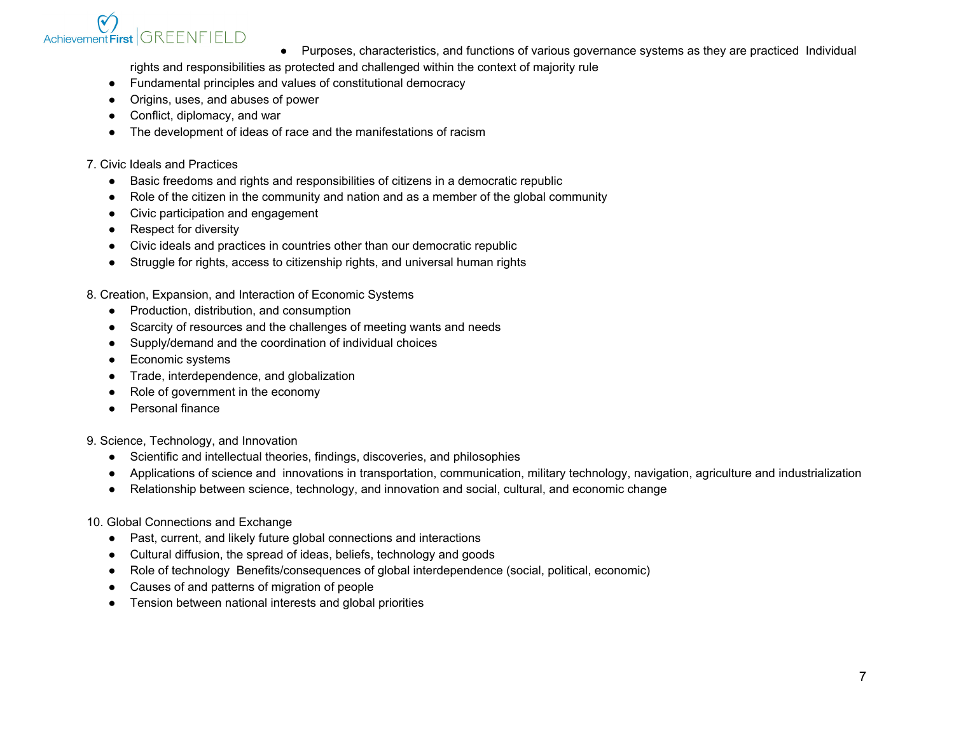

● Purposes, characteristics, and functions of various governance systems as they are practiced Individual

rights and responsibilities as protected and challenged within the context of majority rule

- Fundamental principles and values of constitutional democracy
- Origins, uses, and abuses of power
- Conflict, diplomacy, and war
- The development of ideas of race and the manifestations of racism

### 7. Civic Ideals and Practices

- Basic freedoms and rights and responsibilities of citizens in a democratic republic
- Role of the citizen in the community and nation and as a member of the global community
- Civic participation and engagement
- Respect for diversity
- Civic ideals and practices in countries other than our democratic republic
- Struggle for rights, access to citizenship rights, and universal human rights
- 8. Creation, Expansion, and Interaction of Economic Systems
	- Production, distribution, and consumption
	- Scarcity of resources and the challenges of meeting wants and needs
	- Supply/demand and the coordination of individual choices
	- Economic systems
	- Trade, interdependence, and globalization
	- Role of government in the economy
	- Personal finance
- 9. Science, Technology, and Innovation
	- Scientific and intellectual theories, findings, discoveries, and philosophies
	- Applications of science and innovations in transportation, communication, military technology, navigation, agriculture and industrialization
	- Relationship between science, technology, and innovation and social, cultural, and economic change

### 10. Global Connections and Exchange

- Past, current, and likely future global connections and interactions
- Cultural diffusion, the spread of ideas, beliefs, technology and goods
- Role of technology Benefits/consequences of global interdependence (social, political, economic)
- Causes of and patterns of migration of people
- Tension between national interests and global priorities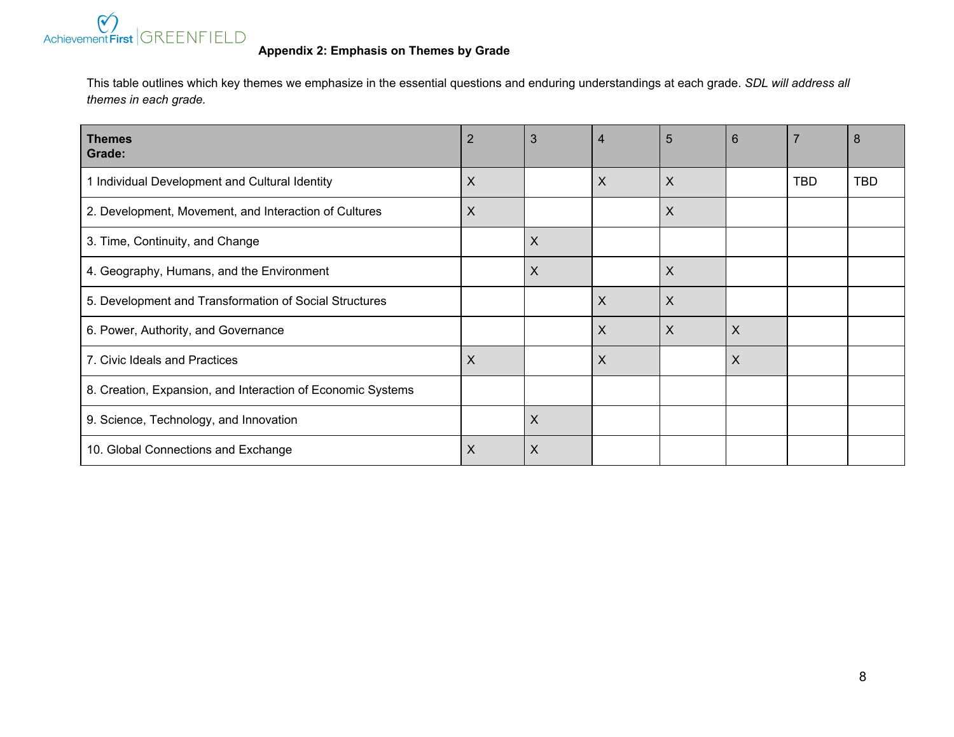## **Appendix 2: Emphasis on Themes by Grade**

This table outlines which key themes we emphasize in the essential questions and enduring understandings at each grade. *SDL will address all themes in each grade.*

| <b>Themes</b><br>Grade:                                     | $\overline{2}$ | 3 | $\overline{4}$ | 5       | 6 | $\overline{7}$ | 8          |
|-------------------------------------------------------------|----------------|---|----------------|---------|---|----------------|------------|
| 1 Individual Development and Cultural Identity              | X              |   | $\sf X$        | X       |   | TBD            | <b>TBD</b> |
| 2. Development, Movement, and Interaction of Cultures       | X              |   |                | X       |   |                |            |
| 3. Time, Continuity, and Change                             |                | X |                |         |   |                |            |
| 4. Geography, Humans, and the Environment                   |                | X |                | X       |   |                |            |
| 5. Development and Transformation of Social Structures      |                |   | X              | X       |   |                |            |
| 6. Power, Authority, and Governance                         |                |   | X              | $\sf X$ | X |                |            |
| 7. Civic Ideals and Practices                               |                |   | X              |         | X |                |            |
| 8. Creation, Expansion, and Interaction of Economic Systems |                |   |                |         |   |                |            |
| 9. Science, Technology, and Innovation                      |                | X |                |         |   |                |            |
| 10. Global Connections and Exchange                         |                | X |                |         |   |                |            |